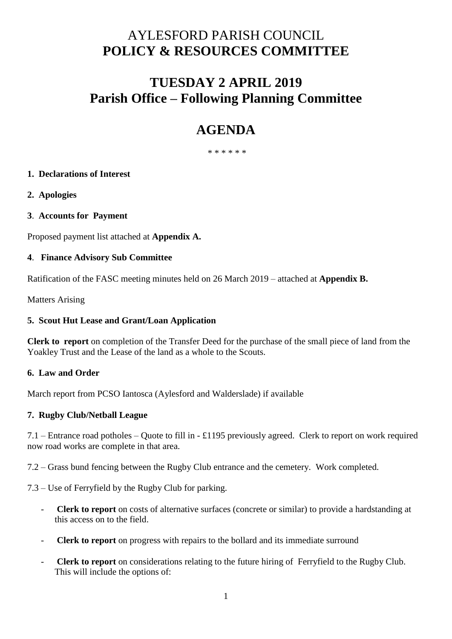# AYLESFORD PARISH COUNCIL **POLICY & RESOURCES COMMITTEE**

# **TUESDAY 2 APRIL 2019 Parish Office – Following Planning Committee**

# **AGENDA**

\* \* \* \* \* \*

# **1. Declarations of Interest**

**2. Apologies**

# **3**. **Accounts for Payment**

Proposed payment list attached at **Appendix A.** 

#### **4**. **Finance Advisory Sub Committee**

Ratification of the FASC meeting minutes held on 26 March 2019 – attached at **Appendix B.** 

Matters Arising

#### **5. Scout Hut Lease and Grant/Loan Application**

**Clerk to report** on completion of the Transfer Deed for the purchase of the small piece of land from the Yoakley Trust and the Lease of the land as a whole to the Scouts.

#### **6. Law and Order**

March report from PCSO Iantosca (Aylesford and Walderslade) if available

# **7. Rugby Club/Netball League**

7.1 – Entrance road potholes – Quote to fill in - £1195 previously agreed. Clerk to report on work required now road works are complete in that area.

7.2 – Grass bund fencing between the Rugby Club entrance and the cemetery. Work completed.

7.3 – Use of Ferryfield by the Rugby Club for parking.

- **Clerk to report** on costs of alternative surfaces (concrete or similar) to provide a hardstanding at this access on to the field.
- **Clerk to report** on progress with repairs to the bollard and its immediate surround
- **Clerk to report** on considerations relating to the future hiring of Ferryfield to the Rugby Club. This will include the options of: